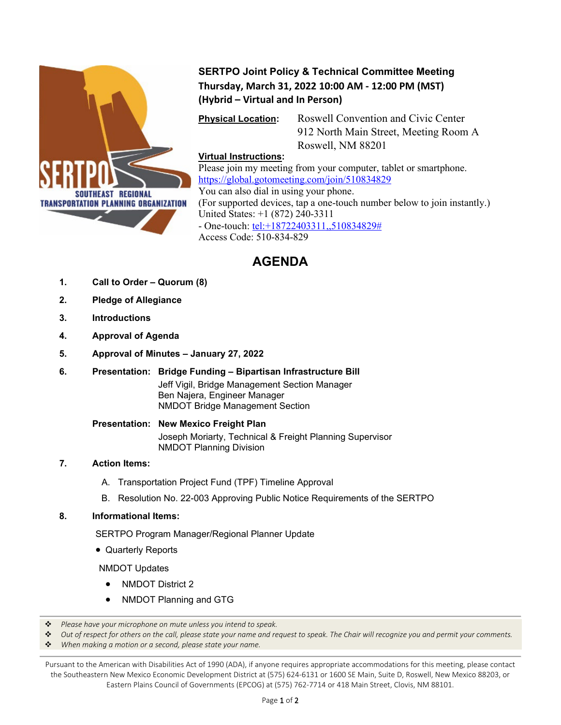

## **SERTPO Joint Policy & Technical Committee Meeting Thursday, March 31, 2022 10:00 AM - 12:00 PM (MST) (Hybrid – Virtual and In Person)**

**Physical Location:** Roswell Convention and Civic Center 912 North Main Street, Meeting Room A Roswell, NM 88201

### **Virtual Instructions:**

Please join my meeting from your computer, tablet or smartphone. <https://global.gotomeeting.com/join/510834829> You can also dial in using your phone. (For supported devices, tap a one-touch number below to join instantly.) United States: +1 (872) 240-3311 - One-touch: [tel:+18722403311,,510834829#](tel:+18722403311,,510834829) Access Code: 510-834-829

# **AGENDA**

- **1. Call to Order – Quorum (8)**
- **2. Pledge of Allegiance**
- **3. Introductions**
- **4. Approval of Agenda**
- **5. Approval of Minutes – January 27, 2022**
- **6. Presentation: Bridge Funding – Bipartisan Infrastructure Bill** Jeff Vigil, Bridge Management Section Manager Ben Najera, Engineer Manager

NMDOT Bridge Management Section

**Presentation: New Mexico Freight Plan** Joseph Moriarty, Technical & Freight Planning Supervisor NMDOT Planning Division

### **7. Action Items:**

- A. Transportation Project Fund (TPF) Timeline Approval
- B. Resolution No. 22-003 Approving Public Notice Requirements of the SERTPO

#### **8. Informational Items:**

SERTPO Program Manager/Regional Planner Update

• Quarterly Reports

NMDOT Updates

- NMDOT District 2
- NMDOT Planning and GTG
- *Please have your microphone on mute unless you intend to speak.*

*Out of respect for others on the call, please state your name and request to speak. The Chair will recognize you and permit your comments.*

*When making a motion or a second, please state your name.*

Pursuant to the American with Disabilities Act of 1990 (ADA), if anyone requires appropriate accommodations for this meeting, please contact the Southeastern New Mexico Economic Development District at (575) 624-6131 or 1600 SE Main, Suite D, Roswell, New Mexico 88203, or Eastern Plains Council of Governments (EPCOG) at (575) 762-7714 or 418 Main Street, Clovis, NM 88101.